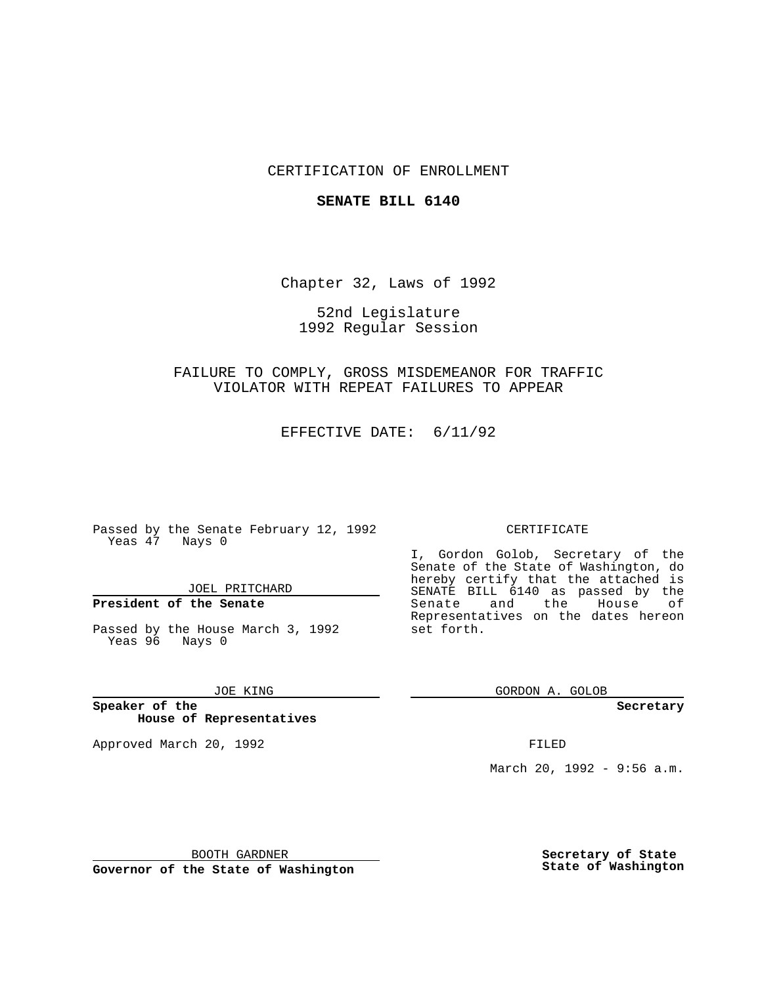## CERTIFICATION OF ENROLLMENT

### **SENATE BILL 6140**

Chapter 32, Laws of 1992

## 52nd Legislature 1992 Regular Session

# FAILURE TO COMPLY, GROSS MISDEMEANOR FOR TRAFFIC VIOLATOR WITH REPEAT FAILURES TO APPEAR

EFFECTIVE DATE: 6/11/92

Passed by the Senate February 12, 1992 Yeas 47 Nays 0

JOEL PRITCHARD

## **President of the Senate**

Passed by the House March 3, 1992 Yeas 96 Nays 0

### JOE KING

**Speaker of the House of Representatives**

Approved March 20, 1992 **FILED** 

#### CERTIFICATE

I, Gordon Golob, Secretary of the Senate of the State of Washington, do hereby certify that the attached is SENATE BILL 6140 as passed by the Senate and the House of Representatives on the dates hereon set forth.

GORDON A. GOLOB

**Secretary**

March 20, 1992 - 9:56 a.m.

BOOTH GARDNER

**Governor of the State of Washington**

**Secretary of State State of Washington**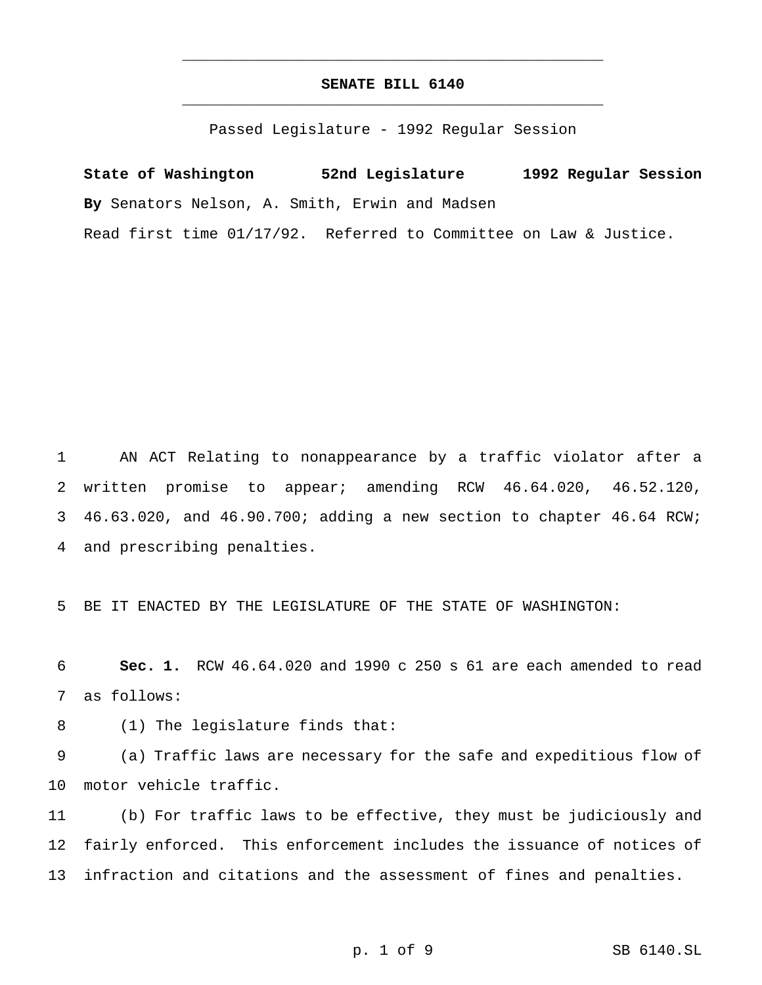# **SENATE BILL 6140** \_\_\_\_\_\_\_\_\_\_\_\_\_\_\_\_\_\_\_\_\_\_\_\_\_\_\_\_\_\_\_\_\_\_\_\_\_\_\_\_\_\_\_\_\_\_\_

\_\_\_\_\_\_\_\_\_\_\_\_\_\_\_\_\_\_\_\_\_\_\_\_\_\_\_\_\_\_\_\_\_\_\_\_\_\_\_\_\_\_\_\_\_\_\_

Passed Legislature - 1992 Regular Session

**State of Washington 52nd Legislature 1992 Regular Session By** Senators Nelson, A. Smith, Erwin and Madsen Read first time 01/17/92. Referred to Committee on Law & Justice.

 AN ACT Relating to nonappearance by a traffic violator after a written promise to appear; amending RCW 46.64.020, 46.52.120, 46.63.020, and 46.90.700; adding a new section to chapter 46.64 RCW; and prescribing penalties.

BE IT ENACTED BY THE LEGISLATURE OF THE STATE OF WASHINGTON:

 **Sec. 1.** RCW 46.64.020 and 1990 c 250 s 61 are each amended to read as follows:

(1) The legislature finds that:

 (a) Traffic laws are necessary for the safe and expeditious flow of motor vehicle traffic.

 (b) For traffic laws to be effective, they must be judiciously and fairly enforced. This enforcement includes the issuance of notices of infraction and citations and the assessment of fines and penalties.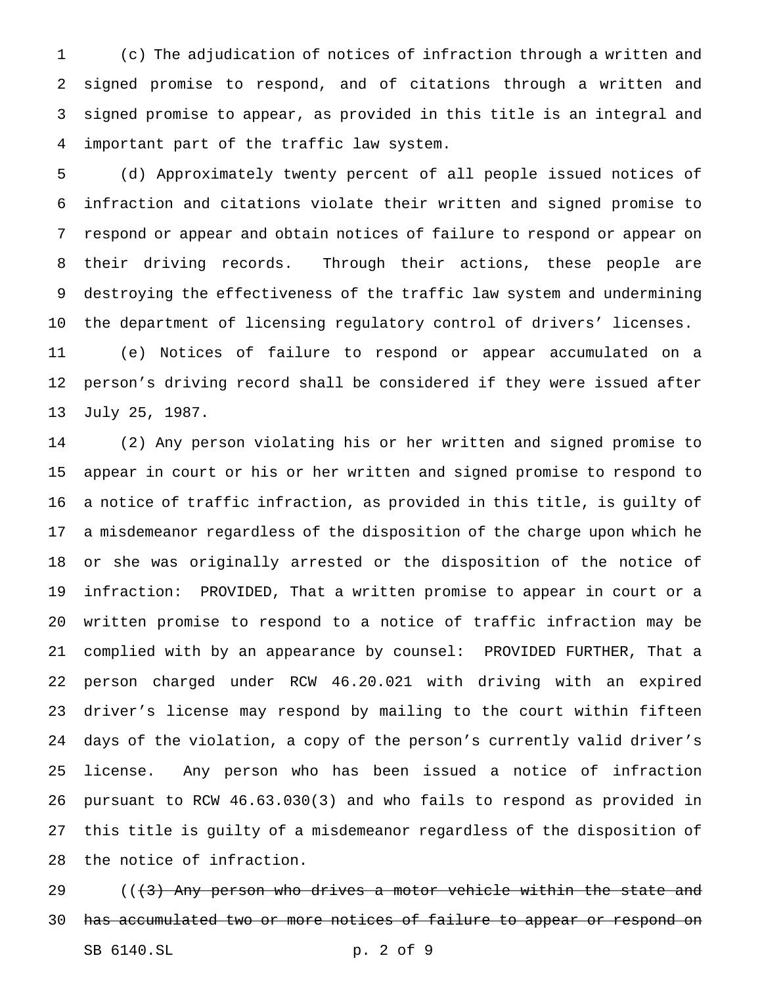(c) The adjudication of notices of infraction through a written and signed promise to respond, and of citations through a written and signed promise to appear, as provided in this title is an integral and important part of the traffic law system.

 (d) Approximately twenty percent of all people issued notices of infraction and citations violate their written and signed promise to respond or appear and obtain notices of failure to respond or appear on their driving records. Through their actions, these people are destroying the effectiveness of the traffic law system and undermining the department of licensing regulatory control of drivers' licenses.

 (e) Notices of failure to respond or appear accumulated on a person's driving record shall be considered if they were issued after July 25, 1987.

 (2) Any person violating his or her written and signed promise to appear in court or his or her written and signed promise to respond to a notice of traffic infraction, as provided in this title, is guilty of a misdemeanor regardless of the disposition of the charge upon which he or she was originally arrested or the disposition of the notice of infraction: PROVIDED, That a written promise to appear in court or a written promise to respond to a notice of traffic infraction may be complied with by an appearance by counsel: PROVIDED FURTHER, That a person charged under RCW 46.20.021 with driving with an expired driver's license may respond by mailing to the court within fifteen days of the violation, a copy of the person's currently valid driver's license. Any person who has been issued a notice of infraction pursuant to RCW 46.63.030(3) and who fails to respond as provided in this title is guilty of a misdemeanor regardless of the disposition of the notice of infraction.

 $((3)$  Any person who drives a motor vehicle within the state and 30 has accumulated two or more notices of failure to appear or respond on SB 6140.SL p. 2 of 9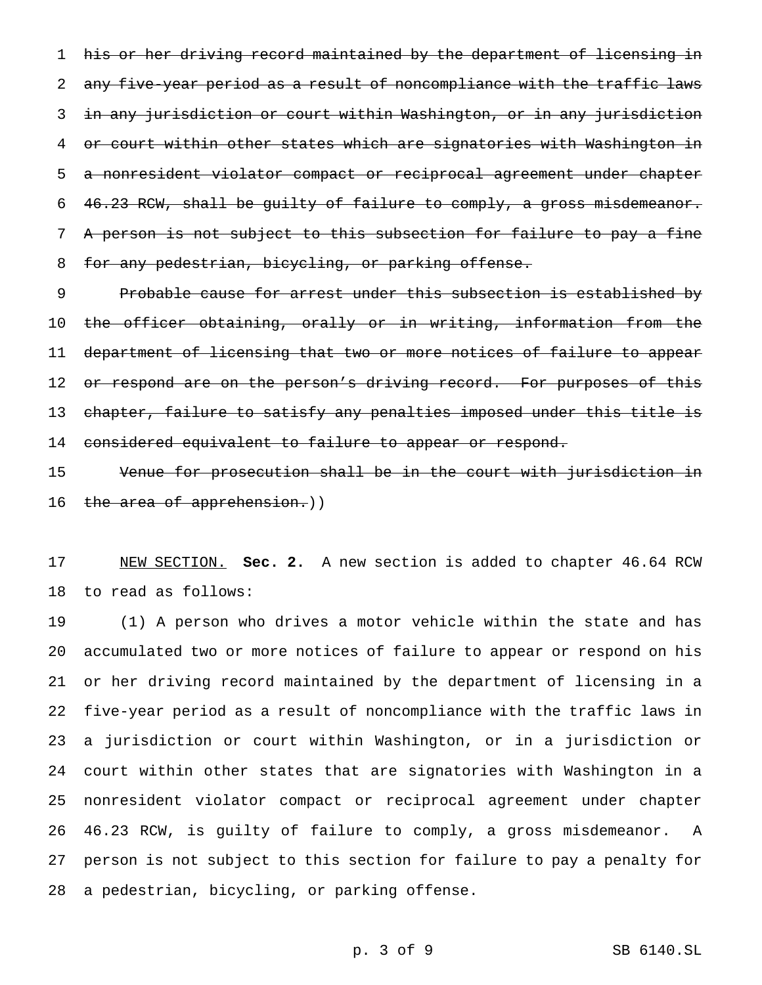his or her driving record maintained by the department of licensing in 2 any five-year period as a result of noncompliance with the traffic laws in any jurisdiction or court within Washington, or in any jurisdiction or court within other states which are signatories with Washington in a nonresident violator compact or reciprocal agreement under chapter 46.23 RCW, shall be guilty of failure to comply, a gross misdemeanor. A person is not subject to this subsection for failure to pay a fine 8 for any pedestrian, bicycling, or parking offense.

 Probable cause for arrest under this subsection is established by the officer obtaining, orally or in writing, information from the department of licensing that two or more notices of failure to appear 12 o<del>r respond are on the person's driving record. For purposes of this</del> 13 chapter, failure to satisfy any penalties imposed under this title is considered equivalent to failure to appear or respond.

 Venue for prosecution shall be in the court with jurisdiction in 16 the area of apprehension.))

 NEW SECTION. **Sec. 2.** A new section is added to chapter 46.64 RCW to read as follows:

 (1) A person who drives a motor vehicle within the state and has accumulated two or more notices of failure to appear or respond on his or her driving record maintained by the department of licensing in a five-year period as a result of noncompliance with the traffic laws in a jurisdiction or court within Washington, or in a jurisdiction or court within other states that are signatories with Washington in a nonresident violator compact or reciprocal agreement under chapter 46.23 RCW, is guilty of failure to comply, a gross misdemeanor. A person is not subject to this section for failure to pay a penalty for a pedestrian, bicycling, or parking offense.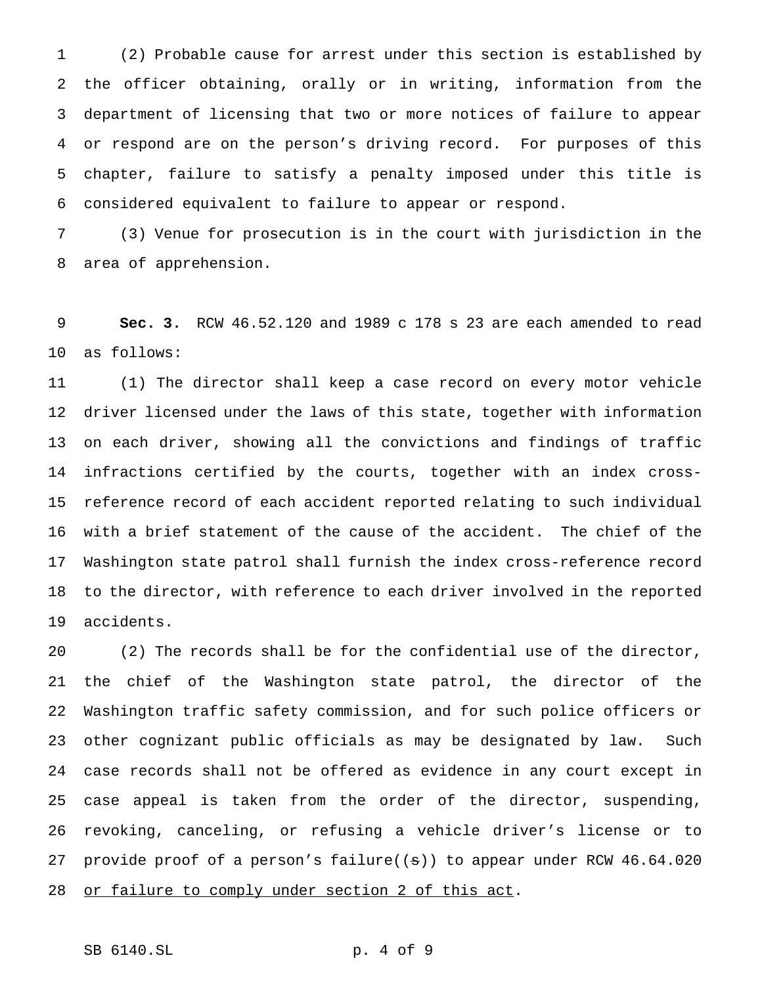(2) Probable cause for arrest under this section is established by the officer obtaining, orally or in writing, information from the department of licensing that two or more notices of failure to appear or respond are on the person's driving record. For purposes of this chapter, failure to satisfy a penalty imposed under this title is considered equivalent to failure to appear or respond.

 (3) Venue for prosecution is in the court with jurisdiction in the area of apprehension.

 **Sec. 3.** RCW 46.52.120 and 1989 c 178 s 23 are each amended to read as follows:

 (1) The director shall keep a case record on every motor vehicle driver licensed under the laws of this state, together with information on each driver, showing all the convictions and findings of traffic infractions certified by the courts, together with an index cross- reference record of each accident reported relating to such individual with a brief statement of the cause of the accident. The chief of the Washington state patrol shall furnish the index cross-reference record to the director, with reference to each driver involved in the reported accidents.

 (2) The records shall be for the confidential use of the director, the chief of the Washington state patrol, the director of the Washington traffic safety commission, and for such police officers or other cognizant public officials as may be designated by law. Such case records shall not be offered as evidence in any court except in case appeal is taken from the order of the director, suspending, revoking, canceling, or refusing a vehicle driver's license or to provide proof of a person's failure((s)) to appear under RCW 46.64.020 28 or failure to comply under section 2 of this act.

# SB 6140.SL p. 4 of 9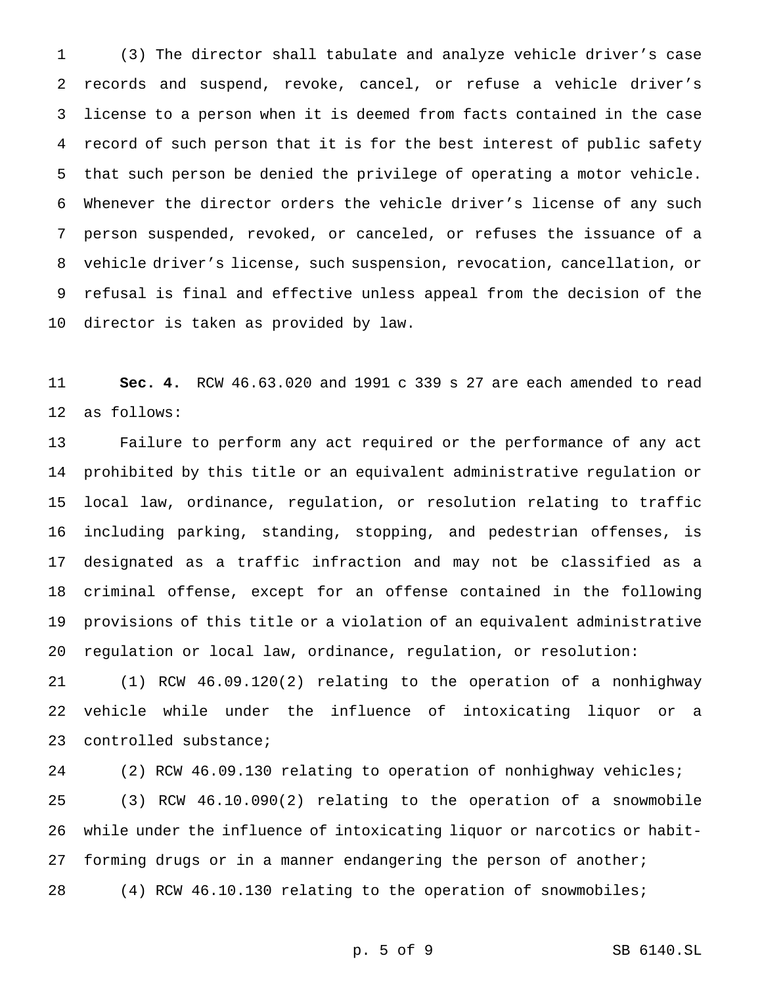(3) The director shall tabulate and analyze vehicle driver's case records and suspend, revoke, cancel, or refuse a vehicle driver's license to a person when it is deemed from facts contained in the case record of such person that it is for the best interest of public safety that such person be denied the privilege of operating a motor vehicle. Whenever the director orders the vehicle driver's license of any such person suspended, revoked, or canceled, or refuses the issuance of a vehicle driver's license, such suspension, revocation, cancellation, or refusal is final and effective unless appeal from the decision of the director is taken as provided by law.

 **Sec. 4.** RCW 46.63.020 and 1991 c 339 s 27 are each amended to read as follows:

 Failure to perform any act required or the performance of any act prohibited by this title or an equivalent administrative regulation or local law, ordinance, regulation, or resolution relating to traffic including parking, standing, stopping, and pedestrian offenses, is designated as a traffic infraction and may not be classified as a criminal offense, except for an offense contained in the following provisions of this title or a violation of an equivalent administrative regulation or local law, ordinance, regulation, or resolution:

 (1) RCW 46.09.120(2) relating to the operation of a nonhighway vehicle while under the influence of intoxicating liquor or a controlled substance;

 (2) RCW 46.09.130 relating to operation of nonhighway vehicles; (3) RCW 46.10.090(2) relating to the operation of a snowmobile while under the influence of intoxicating liquor or narcotics or habit-27 forming drugs or in a manner endangering the person of another; (4) RCW 46.10.130 relating to the operation of snowmobiles;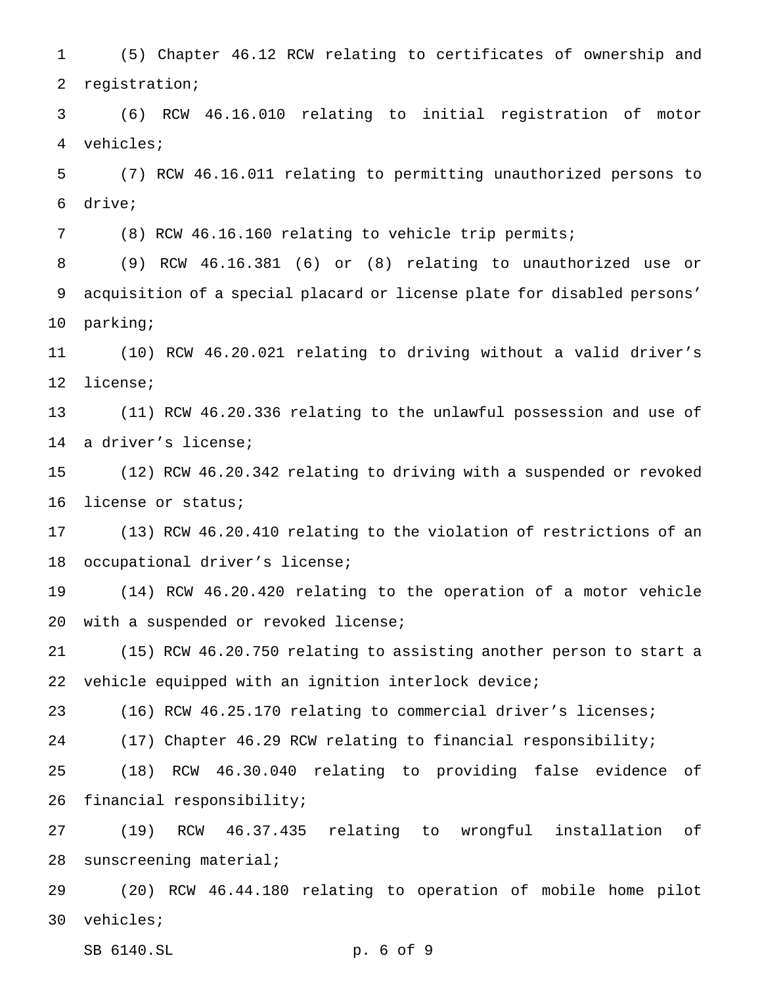(5) Chapter 46.12 RCW relating to certificates of ownership and registration;

 (6) RCW 46.16.010 relating to initial registration of motor vehicles;

 (7) RCW 46.16.011 relating to permitting unauthorized persons to drive;

(8) RCW 46.16.160 relating to vehicle trip permits;

 (9) RCW 46.16.381 (6) or (8) relating to unauthorized use or acquisition of a special placard or license plate for disabled persons' parking;

 (10) RCW 46.20.021 relating to driving without a valid driver's license;

 (11) RCW 46.20.336 relating to the unlawful possession and use of a driver's license;

 (12) RCW 46.20.342 relating to driving with a suspended or revoked license or status;

 (13) RCW 46.20.410 relating to the violation of restrictions of an occupational driver's license;

 (14) RCW 46.20.420 relating to the operation of a motor vehicle with a suspended or revoked license;

 (15) RCW 46.20.750 relating to assisting another person to start a vehicle equipped with an ignition interlock device;

(16) RCW 46.25.170 relating to commercial driver's licenses;

(17) Chapter 46.29 RCW relating to financial responsibility;

 (18) RCW 46.30.040 relating to providing false evidence of financial responsibility;

 (19) RCW 46.37.435 relating to wrongful installation of sunscreening material;

 (20) RCW 46.44.180 relating to operation of mobile home pilot vehicles;

SB 6140.SL p. 6 of 9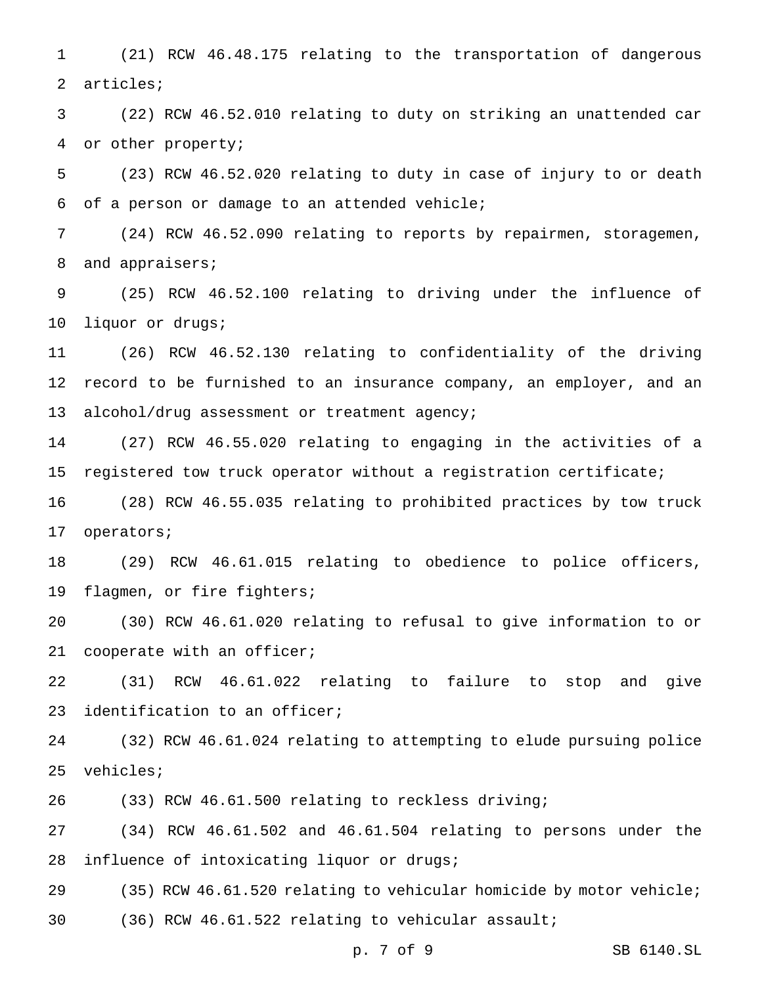(21) RCW 46.48.175 relating to the transportation of dangerous articles;

 (22) RCW 46.52.010 relating to duty on striking an unattended car or other property;

 (23) RCW 46.52.020 relating to duty in case of injury to or death of a person or damage to an attended vehicle;

 (24) RCW 46.52.090 relating to reports by repairmen, storagemen, 8 and appraisers;

 (25) RCW 46.52.100 relating to driving under the influence of liquor or drugs;

 (26) RCW 46.52.130 relating to confidentiality of the driving record to be furnished to an insurance company, an employer, and an 13 alcohol/drug assessment or treatment agency;

 (27) RCW 46.55.020 relating to engaging in the activities of a registered tow truck operator without a registration certificate;

 (28) RCW 46.55.035 relating to prohibited practices by tow truck operators;

 (29) RCW 46.61.015 relating to obedience to police officers, flagmen, or fire fighters;

 (30) RCW 46.61.020 relating to refusal to give information to or 21 cooperate with an officer;

 (31) RCW 46.61.022 relating to failure to stop and give identification to an officer;

 (32) RCW 46.61.024 relating to attempting to elude pursuing police vehicles;

(33) RCW 46.61.500 relating to reckless driving;

 (34) RCW 46.61.502 and 46.61.504 relating to persons under the influence of intoxicating liquor or drugs;

 (35) RCW 46.61.520 relating to vehicular homicide by motor vehicle; (36) RCW 46.61.522 relating to vehicular assault;

p. 7 of 9 SB 6140.SL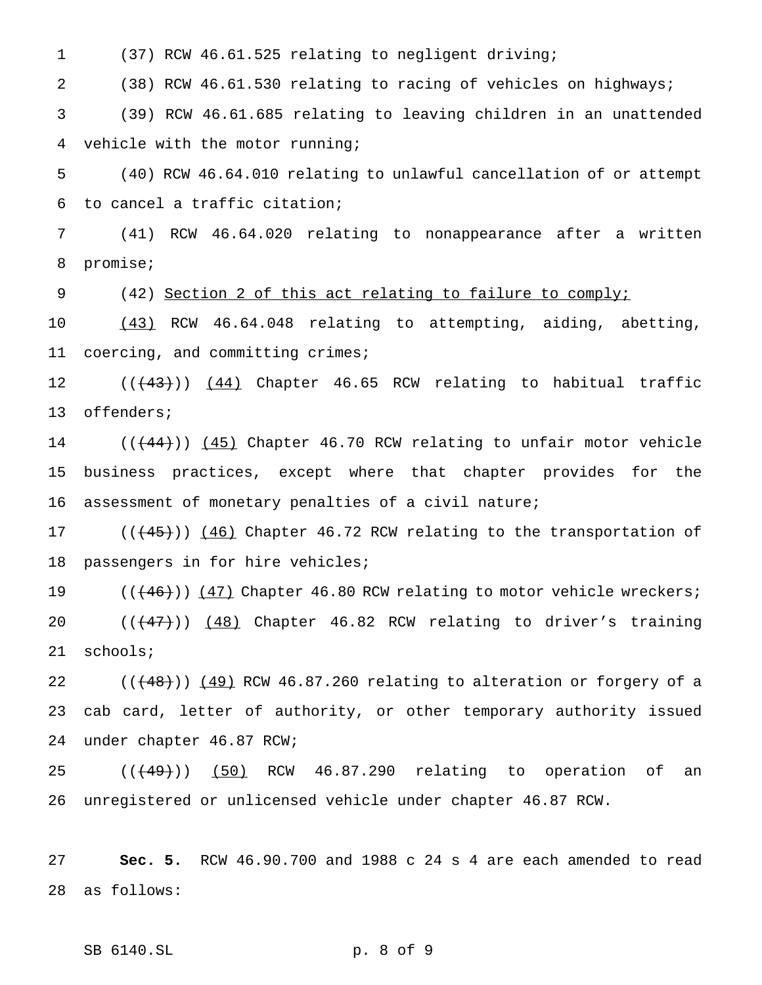(37) RCW 46.61.525 relating to negligent driving;

 (38) RCW 46.61.530 relating to racing of vehicles on highways; (39) RCW 46.61.685 relating to leaving children in an unattended vehicle with the motor running;

 (40) RCW 46.64.010 relating to unlawful cancellation of or attempt to cancel a traffic citation;

 (41) RCW 46.64.020 relating to nonappearance after a written promise;

(42) Section 2 of this act relating to failure to comply;

 (43) RCW 46.64.048 relating to attempting, aiding, abetting, coercing, and committing crimes;

12 (( $(43)$ )) (44) Chapter 46.65 RCW relating to habitual traffic offenders;

14 (( $(44)$ )) (45) Chapter 46.70 RCW relating to unfair motor vehicle business practices, except where that chapter provides for the assessment of monetary penalties of a civil nature;

17 (( $(45)$ )) (46) Chapter 46.72 RCW relating to the transportation of passengers in for hire vehicles;

19 (( $(46)$ )) (47) Chapter 46.80 RCW relating to motor vehicle wreckers; 20 (( $\left(\frac{47}{1}\right)$ ) (48) Chapter 46.82 RCW relating to driver's training schools;

 $((+48))$   $(49)$  RCW 46.87.260 relating to alteration or forgery of a cab card, letter of authority, or other temporary authority issued under chapter 46.87 RCW;

25 (( $(49)$ )) (50) RCW 46.87.290 relating to operation of an unregistered or unlicensed vehicle under chapter 46.87 RCW.

 **Sec. 5.** RCW 46.90.700 and 1988 c 24 s 4 are each amended to read as follows:

SB 6140.SL p. 8 of 9